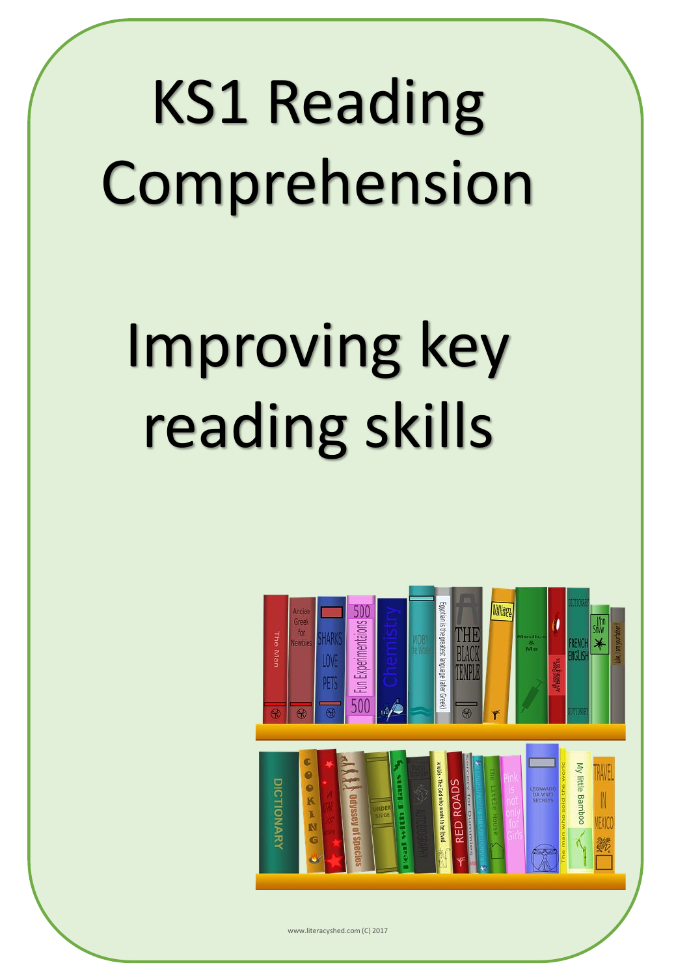# KS1 Reading Comprehension

# Improving key reading skills



www.literacyshed.com (C) 2017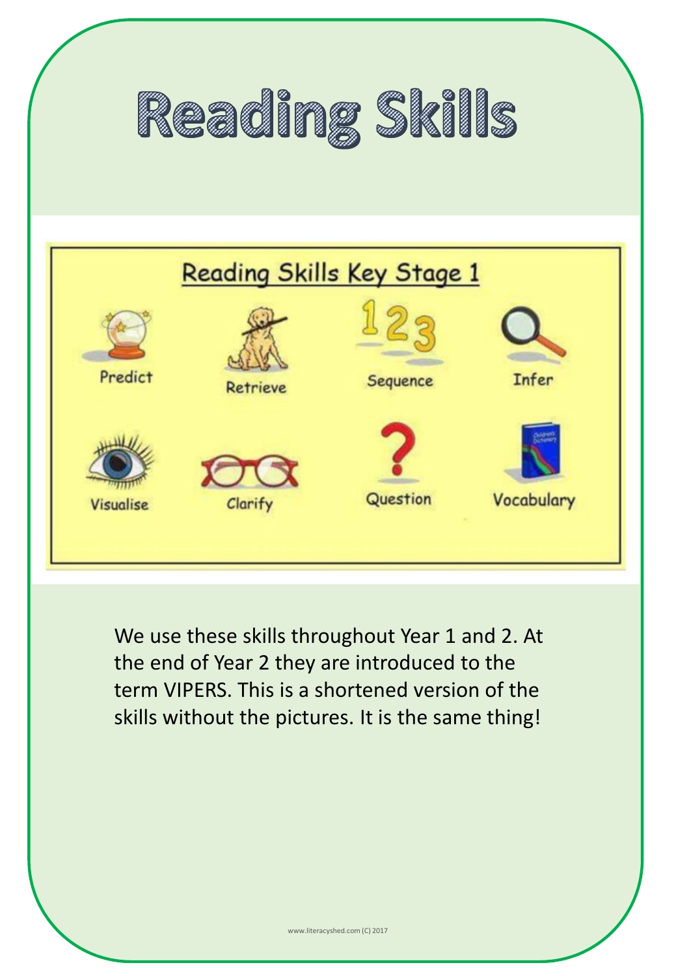



We use these skills throughout Year 1 and 2. At the end of Year 2 they are introduced to the term VIPERS. This is a shortened version of the skills without the pictures. It is the same thing!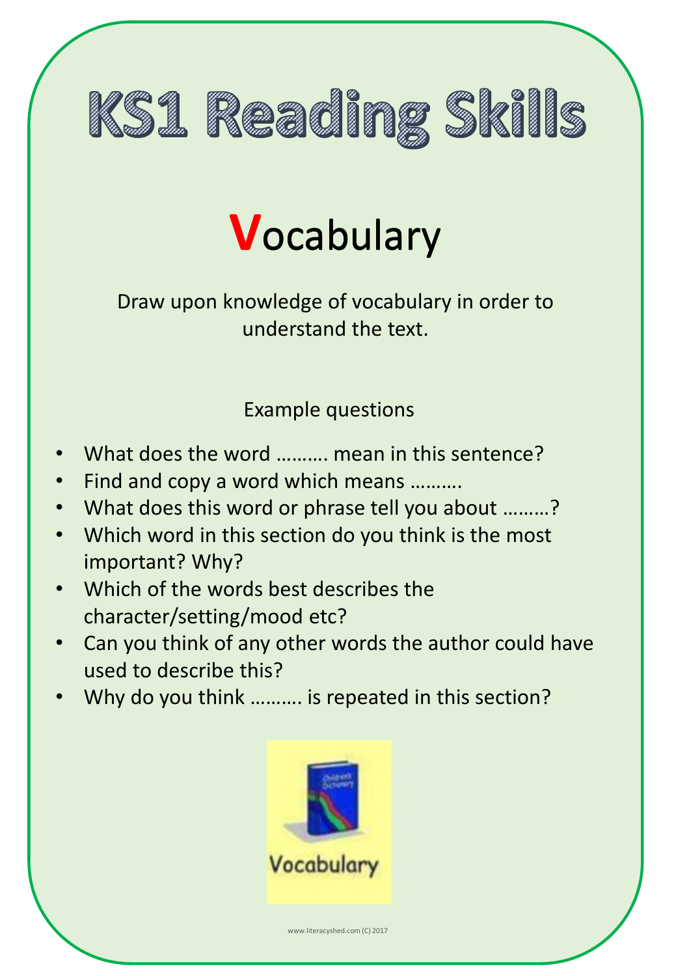

# **V**ocabulary **V**ocabulary

Draw upon knowledge of vocabulary in order to understand the text.

- What does the word ………. mean in this sentence?
- Find and copy a word which means ……….
- What does this word or phrase tell you about .........?
- Which word in this section do you think is the most important? Why?
- Which of the words best describes the character/setting/mood etc?
- Can you think of any other words the author could have used to describe this?
- Why do you think ………. is repeated in this section?

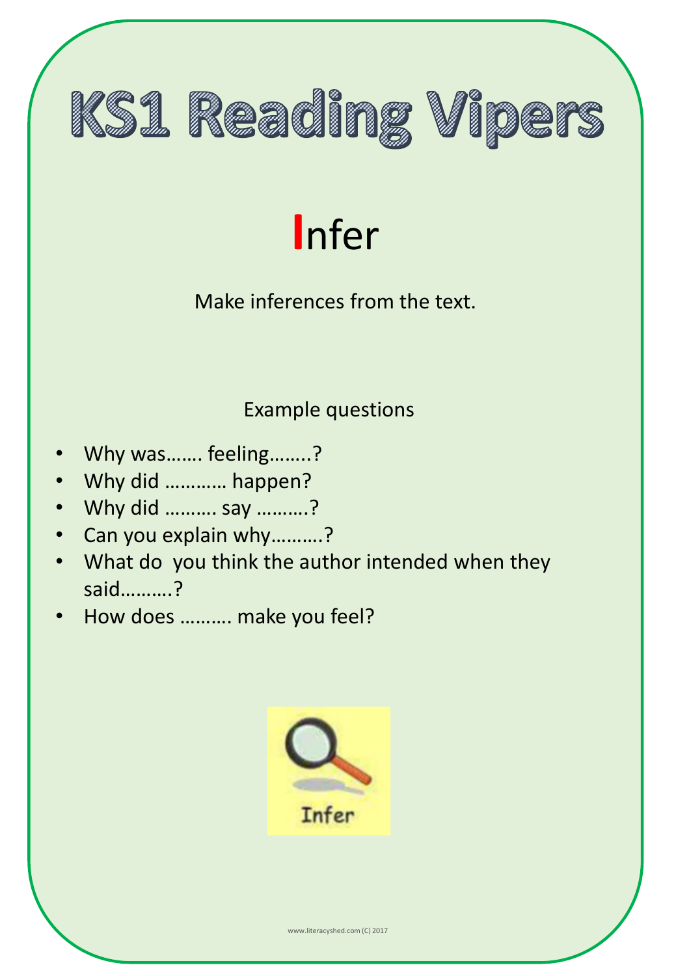

### **I**nfer

#### Make inferences from the text.

- Why was……. feeling……..?
- Why did ………… happen?
- Why did ………. say ……….?
- Can you explain why……….?
- What do you think the author intended when they said……….?
- How does ………. make you feel?

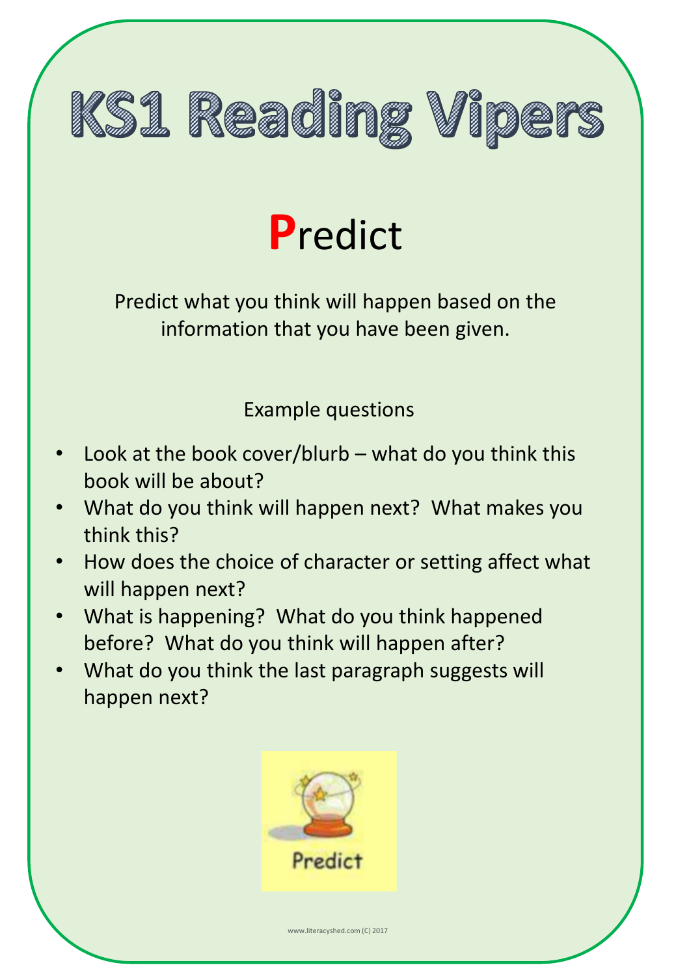

## **P**redict

Predict what you think will happen based on the information that you have been given.

- Look at the book cover/blurb what do you think this book will be about?
- What do you think will happen next? What makes you think this?
- How does the choice of character or setting affect what will happen next?
- What is happening? What do you think happened before? What do you think will happen after?
- What do you think the last paragraph suggests will happen next?

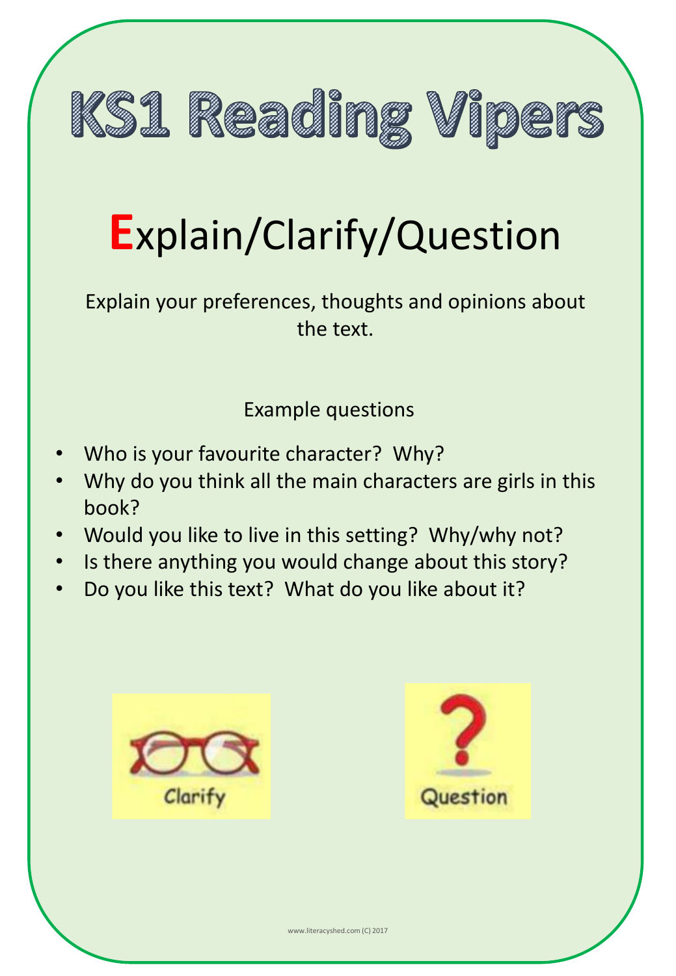

## **E**xplain/Clarify/Question

Explain your preferences, thoughts and opinions about the text.

- Who is your favourite character? Why?
- Why do you think all the main characters are girls in this book?
- Would you like to live in this setting? Why/why not?
- Is there anything you would change about this story?
- Do you like this text? What do you like about it?



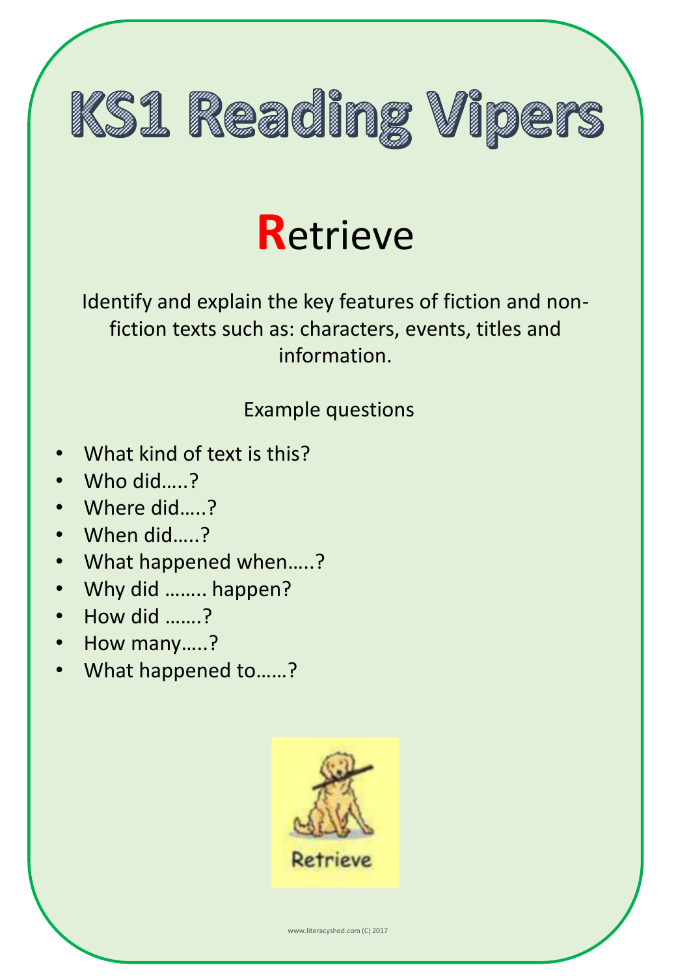

### **R**etrieve

Identify and explain the key features of fiction and nonfiction texts such as: characters, events, titles and information.

#### Example questions

- What kind of text is this?
- Who did…..?
- Where did….?
- When did…..?
- What happened when…..?
- Why did …….. happen?
- How did …….?
- How many…..?
- What happened to……?



www.literacyshed.com (C) 2017